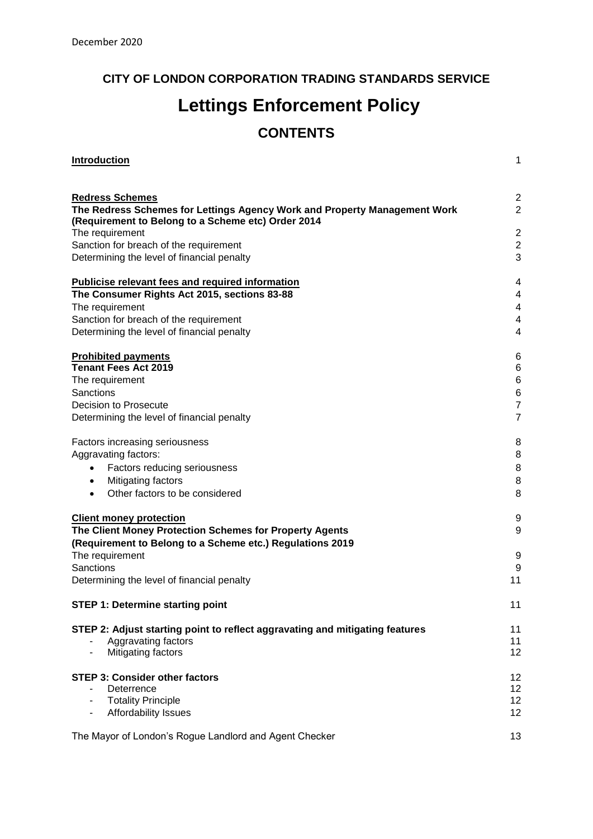# **CITY OF LONDON CORPORATION TRADING STANDARDS SERVICE**

# **Lettings Enforcement Policy**

# **CONTENTS**

| <b>Introduction</b>                                                                                 | 1              |
|-----------------------------------------------------------------------------------------------------|----------------|
|                                                                                                     | $\overline{2}$ |
| <b>Redress Schemes</b><br>The Redress Schemes for Lettings Agency Work and Property Management Work | $\overline{2}$ |
| (Requirement to Belong to a Scheme etc) Order 2014                                                  |                |
| The requirement                                                                                     | $\overline{2}$ |
| Sanction for breach of the requirement                                                              | $\mathbf 2$    |
| Determining the level of financial penalty                                                          | 3              |
| <b>Publicise relevant fees and required information</b>                                             | 4              |
| The Consumer Rights Act 2015, sections 83-88                                                        | 4              |
| The requirement                                                                                     | 4              |
| Sanction for breach of the requirement                                                              | 4              |
| Determining the level of financial penalty                                                          | 4              |
| <b>Prohibited payments</b>                                                                          | 6              |
| <b>Tenant Fees Act 2019</b>                                                                         | 6              |
| The requirement                                                                                     | $\,6$          |
| Sanctions                                                                                           | 6              |
| Decision to Prosecute                                                                               | $\overline{7}$ |
| Determining the level of financial penalty                                                          | $\overline{7}$ |
| Factors increasing seriousness                                                                      | 8              |
| Aggravating factors:                                                                                | 8              |
| Factors reducing seriousness<br>$\bullet$                                                           | 8              |
| Mitigating factors<br>$\bullet$                                                                     | 8              |
| Other factors to be considered<br>$\bullet$                                                         | 8              |
| <b>Client money protection</b>                                                                      | 9              |
| The Client Money Protection Schemes for Property Agents                                             | 9              |
| (Requirement to Belong to a Scheme etc.) Regulations 2019                                           |                |
| The requirement                                                                                     | 9              |
| Sanctions                                                                                           | 9              |
| Determining the level of financial penalty                                                          | 11             |
| <b>STEP 1: Determine starting point</b>                                                             | 11             |
| STEP 2: Adjust starting point to reflect aggravating and mitigating features                        | 11             |
| Aggravating factors                                                                                 | 11             |
| Mitigating factors                                                                                  | 12             |
| <b>STEP 3: Consider other factors</b>                                                               | 12             |
| Deterrence                                                                                          | 12             |
| <b>Totality Principle</b>                                                                           | 12             |
| Affordability Issues                                                                                | 12             |
| The Mayor of London's Rogue Landlord and Agent Checker                                              | 13             |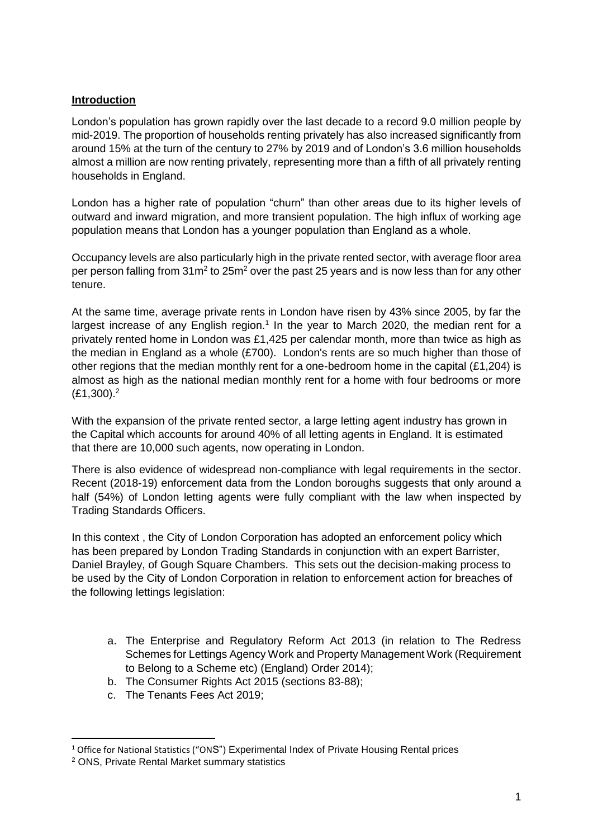## **Introduction**

London's population has grown rapidly over the last decade to a record 9.0 million people by mid-2019. The proportion of households renting privately has also increased significantly from around 15% at the turn of the century to 27% by 2019 and of London's 3.6 million households almost a million are now renting privately, representing more than a fifth of all privately renting households in England.

London has a higher rate of population "churn" than other areas due to its higher levels of outward and inward migration, and more transient population. The high influx of working age population means that London has a younger population than England as a whole.

Occupancy levels are also particularly high in the private rented sector, with average floor area per person falling from 31m<sup>2</sup> to 25m<sup>2</sup> over the past 25 years and is now less than for any other tenure.

At the same time, average private rents in London have risen by 43% since 2005, by far the largest increase of any English region.<sup>1</sup> In the year to March 2020, the median rent for a privately rented home in London was £1,425 per calendar month, more than twice as high as the median in England as a whole (£700). London's rents are so much higher than those of other regions that the median monthly rent for a one-bedroom home in the capital  $(E1.204)$  is almost as high as the national median monthly rent for a home with four bedrooms or more  $(E1,300).<sup>2</sup>$ 

With the expansion of the private rented sector, a large letting agent industry has grown in the Capital which accounts for around 40% of all letting agents in England. It is estimated that there are 10,000 such agents, now operating in London.

There is also evidence of widespread non-compliance with legal requirements in the sector. Recent (2018-19) enforcement data from the London boroughs suggests that only around a half (54%) of London letting agents were fully compliant with the law when inspected by Trading Standards Officers.

In this context, the City of London Corporation has adopted an enforcement policy which has been prepared by London Trading Standards in conjunction with an expert Barrister, Daniel Brayley, of Gough Square Chambers. This sets out the decision-making process to be used by the City of London Corporation in relation to enforcement action for breaches of the following lettings legislation:

- a. The Enterprise and Regulatory Reform Act 2013 (in relation to The Redress Schemes for Lettings Agency Work and Property Management Work (Requirement to Belong to a Scheme etc) (England) Order 2014);
- b. The Consumer Rights Act 2015 (sections 83-88);
- c. The Tenants Fees Act 2019;

<sup>1</sup> <sup>1</sup> Office for National Statistics ("ONS") Experimental Index of Private Housing Rental prices

<sup>2</sup> ONS, Private Rental Market summary statistics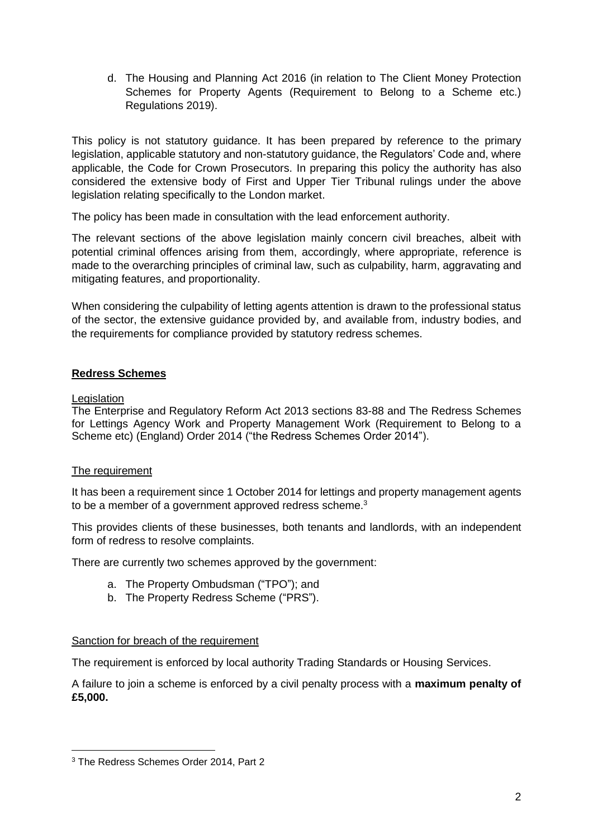d. The Housing and Planning Act 2016 (in relation to The Client Money Protection Schemes for Property Agents (Requirement to Belong to a Scheme etc.) Regulations 2019).

This policy is not statutory guidance. It has been prepared by reference to the primary legislation, applicable statutory and non-statutory guidance, the Regulators' Code and, where applicable, the Code for Crown Prosecutors. In preparing this policy the authority has also considered the extensive body of First and Upper Tier Tribunal rulings under the above legislation relating specifically to the London market.

The policy has been made in consultation with the lead enforcement authority.

The relevant sections of the above legislation mainly concern civil breaches, albeit with potential criminal offences arising from them, accordingly, where appropriate, reference is made to the overarching principles of criminal law, such as culpability, harm, aggravating and mitigating features, and proportionality.

When considering the culpability of letting agents attention is drawn to the professional status of the sector, the extensive guidance provided by, and available from, industry bodies, and the requirements for compliance provided by statutory redress schemes.

# **Redress Schemes**

#### **Legislation**

The Enterprise and Regulatory Reform Act 2013 sections 83-88 and The Redress Schemes for Lettings Agency Work and Property Management Work (Requirement to Belong to a Scheme etc) (England) Order 2014 ("the Redress Schemes Order 2014").

# The requirement

It has been a requirement since 1 October 2014 for lettings and property management agents to be a member of a government approved redress scheme.<sup>3</sup>

This provides clients of these businesses, both tenants and landlords, with an independent form of redress to resolve complaints.

There are currently two schemes approved by the government:

- a. The Property Ombudsman ("TPO"); and
- b. The Property Redress Scheme ("PRS").

# Sanction for breach of the requirement

The requirement is enforced by local authority Trading Standards or Housing Services.

A failure to join a scheme is enforced by a civil penalty process with a **maximum penalty of £5,000.** 

**<sup>.</sup>** <sup>3</sup> The Redress Schemes Order 2014, Part 2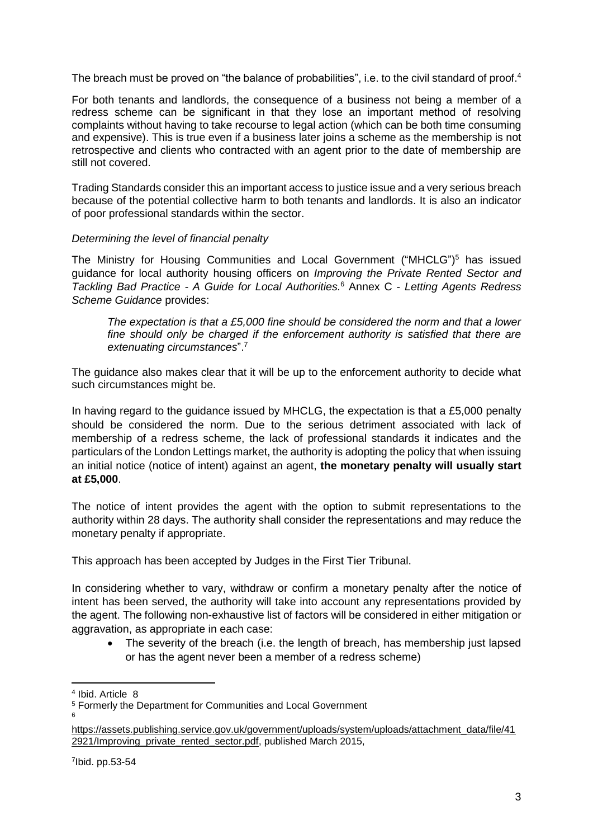The breach must be proved on "the balance of probabilities", i.e. to the civil standard of proof.<sup>4</sup>

For both tenants and landlords, the consequence of a business not being a member of a redress scheme can be significant in that they lose an important method of resolving complaints without having to take recourse to legal action (which can be both time consuming and expensive). This is true even if a business later joins a scheme as the membership is not retrospective and clients who contracted with an agent prior to the date of membership are still not covered.

Trading Standards consider this an important access to justice issue and a very serious breach because of the potential collective harm to both tenants and landlords. It is also an indicator of poor professional standards within the sector.

#### *Determining the level of financial penalty*

The Ministry for Housing Communities and Local Government ("MHCLG") <sup>5</sup> has issued guidance for local authority housing officers on *Improving the Private Rented Sector and Tackling Bad Practice - A Guide for Local Authorities.* <sup>6</sup> Annex C - *Letting Agents Redress Scheme Guidance* provides:

*The expectation is that a £5,000 fine should be considered the norm and that a lower fine should only be charged if the enforcement authority is satisfied that there are extenuating circumstances*". 7

The guidance also makes clear that it will be up to the enforcement authority to decide what such circumstances might be.

In having regard to the guidance issued by MHCLG, the expectation is that a £5,000 penalty should be considered the norm. Due to the serious detriment associated with lack of membership of a redress scheme, the lack of professional standards it indicates and the particulars of the London Lettings market, the authority is adopting the policy that when issuing an initial notice (notice of intent) against an agent, **the monetary penalty will usually start at £5,000**.

The notice of intent provides the agent with the option to submit representations to the authority within 28 days. The authority shall consider the representations and may reduce the monetary penalty if appropriate.

This approach has been accepted by Judges in the First Tier Tribunal.

In considering whether to vary, withdraw or confirm a monetary penalty after the notice of intent has been served, the authority will take into account any representations provided by the agent. The following non-exhaustive list of factors will be considered in either mitigation or aggravation, as appropriate in each case:

The severity of the breach (i.e. the length of breach, has membership just lapsed or has the agent never been a member of a redress scheme)

**.** 

<sup>4</sup> Ibid. Article 8

<sup>5</sup> Formerly the Department for Communities and Local Government 6

[https://assets.publishing.service.gov.uk/government/uploads/system/uploads/attachment\\_data/file/41](https://assets.publishing.service.gov.uk/government/uploads/system/uploads/attachment_data/file/412921/Improving_private_rented_sector.pdf) [2921/Improving\\_private\\_rented\\_sector.pdf,](https://assets.publishing.service.gov.uk/government/uploads/system/uploads/attachment_data/file/412921/Improving_private_rented_sector.pdf) published March 2015,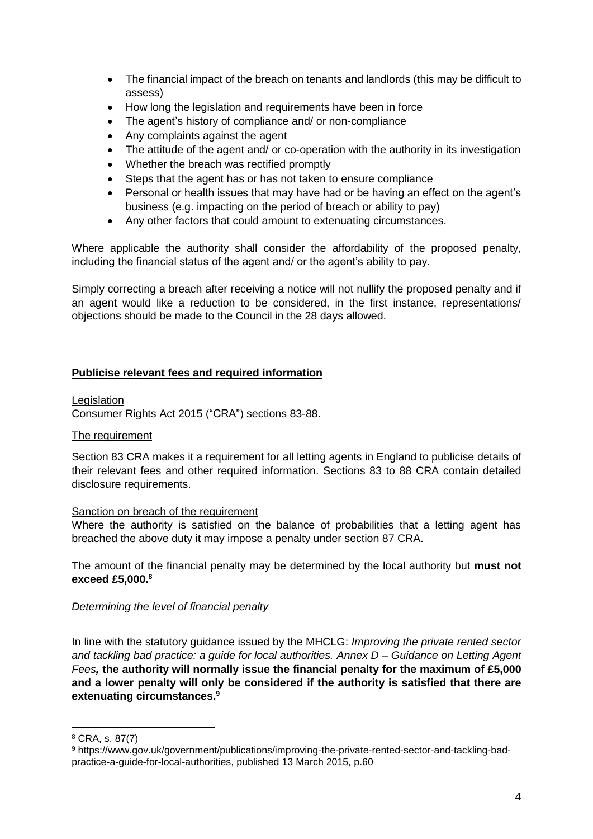- The financial impact of the breach on tenants and landlords (this may be difficult to assess)
- How long the legislation and requirements have been in force
- The agent's history of compliance and/ or non-compliance
- Any complaints against the agent
- The attitude of the agent and/ or co-operation with the authority in its investigation
- Whether the breach was rectified promptly
- Steps that the agent has or has not taken to ensure compliance
- Personal or health issues that may have had or be having an effect on the agent's business (e.g. impacting on the period of breach or ability to pay)
- Any other factors that could amount to extenuating circumstances.

Where applicable the authority shall consider the affordability of the proposed penalty, including the financial status of the agent and/ or the agent's ability to pay.

Simply correcting a breach after receiving a notice will not nullify the proposed penalty and if an agent would like a reduction to be considered, in the first instance, representations/ objections should be made to the Council in the 28 days allowed.

#### **Publicise relevant fees and required information**

**Legislation** Consumer Rights Act 2015 ("CRA") sections 83-88.

#### The requirement

Section 83 CRA makes it a requirement for all letting agents in England to publicise details of their relevant fees and other required information. Sections 83 to 88 CRA contain detailed disclosure requirements.

#### Sanction on breach of the requirement

Where the authority is satisfied on the balance of probabilities that a letting agent has breached the above duty it may impose a penalty under section 87 CRA.

The amount of the financial penalty may be determined by the local authority but **must not exceed £5,000. 8**

*Determining the level of financial penalty*

In line with the statutory guidance issued by the MHCLG: *Improving the private rented sector and tackling bad practice: a guide for local authorities. Annex D – Guidance on Letting Agent Fees,* **the authority will normally issue the financial penalty for the maximum of £5,000 and a lower penalty will only be considered if the authority is satisfied that there are extenuating circumstances. 9**

 $\overline{a}$ 

<sup>8</sup> CRA, s. 87(7)

<sup>9</sup> [https://www.gov.uk/government/publications/improving-the-private-rented-sector-and-tackling-bad](https://www.gov.uk/government/publications/improving-the-private-rented-sector-and-tackling-bad-practice-a-guide-for-local-authorities)[practice-a-guide-for-local-authorities,](https://www.gov.uk/government/publications/improving-the-private-rented-sector-and-tackling-bad-practice-a-guide-for-local-authorities) published 13 March 2015, p.60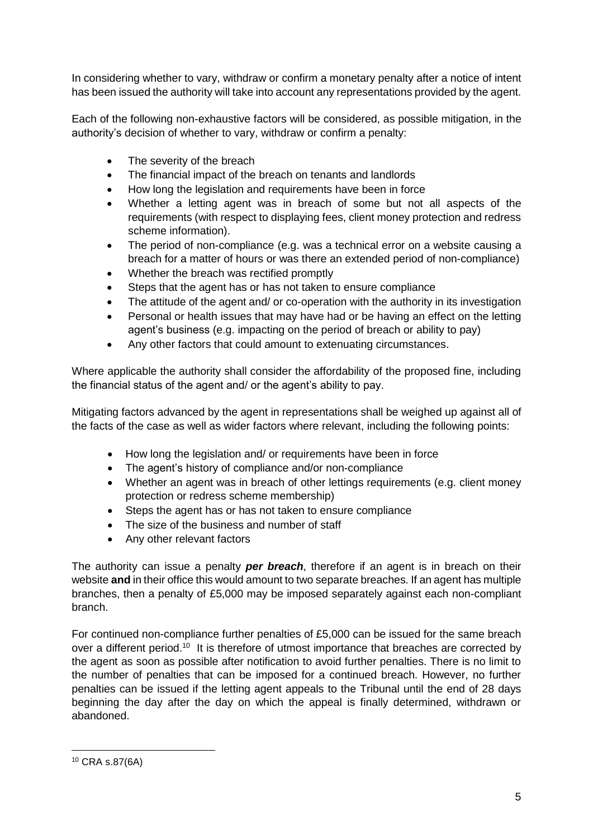In considering whether to vary, withdraw or confirm a monetary penalty after a notice of intent has been issued the authority will take into account any representations provided by the agent.

Each of the following non-exhaustive factors will be considered, as possible mitigation, in the authority's decision of whether to vary, withdraw or confirm a penalty:

- The severity of the breach
- The financial impact of the breach on tenants and landlords
- How long the legislation and requirements have been in force
- Whether a letting agent was in breach of some but not all aspects of the requirements (with respect to displaying fees, client money protection and redress scheme information).
- The period of non-compliance (e.g. was a technical error on a website causing a breach for a matter of hours or was there an extended period of non-compliance)
- Whether the breach was rectified promptly
- Steps that the agent has or has not taken to ensure compliance
- The attitude of the agent and/ or co-operation with the authority in its investigation
- Personal or health issues that may have had or be having an effect on the letting agent's business (e.g. impacting on the period of breach or ability to pay)
- Any other factors that could amount to extenuating circumstances.

Where applicable the authority shall consider the affordability of the proposed fine, including the financial status of the agent and/ or the agent's ability to pay.

Mitigating factors advanced by the agent in representations shall be weighed up against all of the facts of the case as well as wider factors where relevant, including the following points:

- How long the legislation and/ or requirements have been in force
- The agent's history of compliance and/or non-compliance
- Whether an agent was in breach of other lettings requirements (e.g. client money protection or redress scheme membership)
- Steps the agent has or has not taken to ensure compliance
- The size of the business and number of staff
- Any other relevant factors

The authority can issue a penalty *per breach*, therefore if an agent is in breach on their website **and** in their office this would amount to two separate breaches. If an agent has multiple branches, then a penalty of £5,000 may be imposed separately against each non-compliant branch.

For continued non-compliance further penalties of £5,000 can be issued for the same breach over a different period.<sup>10</sup> It is therefore of utmost importance that breaches are corrected by the agent as soon as possible after notification to avoid further penalties. There is no limit to the number of penalties that can be imposed for a continued breach. However, no further penalties can be issued if the letting agent appeals to the Tribunal until the end of 28 days beginning the day after the day on which the appeal is finally determined, withdrawn or abandoned.

**<sup>.</sup>** <sup>10</sup> CRA s.87(6A)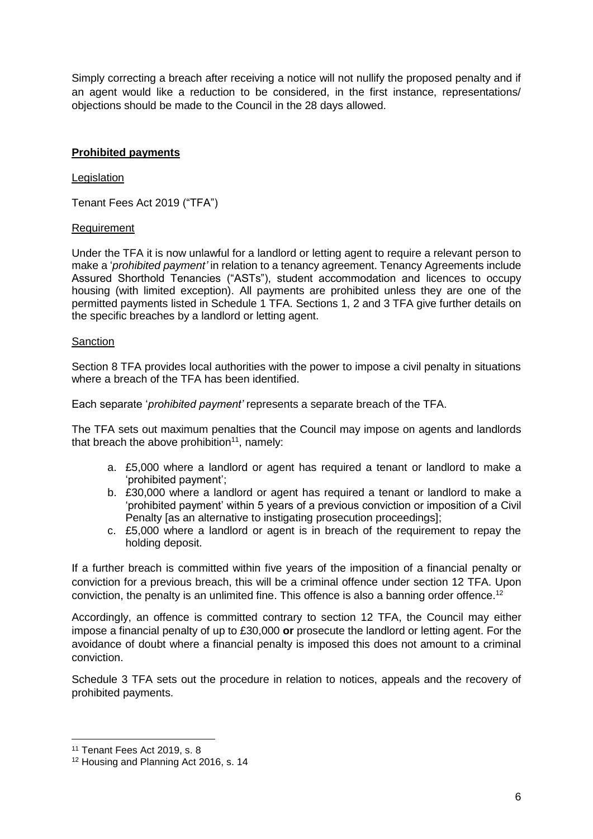Simply correcting a breach after receiving a notice will not nullify the proposed penalty and if an agent would like a reduction to be considered, in the first instance, representations/ objections should be made to the Council in the 28 days allowed.

## **Prohibited payments**

#### Legislation

Tenant Fees Act 2019 ("TFA")

#### Requirement

Under the TFA it is now unlawful for a landlord or letting agent to require a relevant person to make a '*prohibited payment'* in relation to a tenancy agreement. Tenancy Agreements include Assured Shorthold Tenancies ("ASTs"), student accommodation and licences to occupy housing (with limited exception). All payments are prohibited unless they are one of the permitted payments listed in Schedule 1 TFA. Sections 1, 2 and 3 TFA give further details on the specific breaches by a landlord or letting agent.

#### **Sanction**

Section 8 TFA provides local authorities with the power to impose a civil penalty in situations where a breach of the TFA has been identified.

Each separate '*prohibited payment'* represents a separate breach of the TFA.

The TFA sets out maximum penalties that the Council may impose on agents and landlords that breach the above prohibition<sup>11</sup>, namely:

- a. £5,000 where a landlord or agent has required a tenant or landlord to make a 'prohibited payment';
- b. £30,000 where a landlord or agent has required a tenant or landlord to make a 'prohibited payment' within 5 years of a previous conviction or imposition of a Civil Penalty [as an alternative to instigating prosecution proceedings];
- c. £5,000 where a landlord or agent is in breach of the requirement to repay the holding deposit.

If a further breach is committed within five years of the imposition of a financial penalty or conviction for a previous breach, this will be a criminal offence under section 12 TFA. Upon conviction, the penalty is an unlimited fine. This offence is also a banning order offence.<sup>12</sup>

Accordingly, an offence is committed contrary to section 12 TFA, the Council may either impose a financial penalty of up to £30,000 **or** prosecute the landlord or letting agent. For the avoidance of doubt where a financial penalty is imposed this does not amount to a criminal conviction.

Schedule 3 TFA sets out the procedure in relation to notices, appeals and the recovery of prohibited payments.

1

<sup>11</sup> Tenant Fees Act 2019, s. 8

<sup>12</sup> Housing and Planning Act 2016, s. 14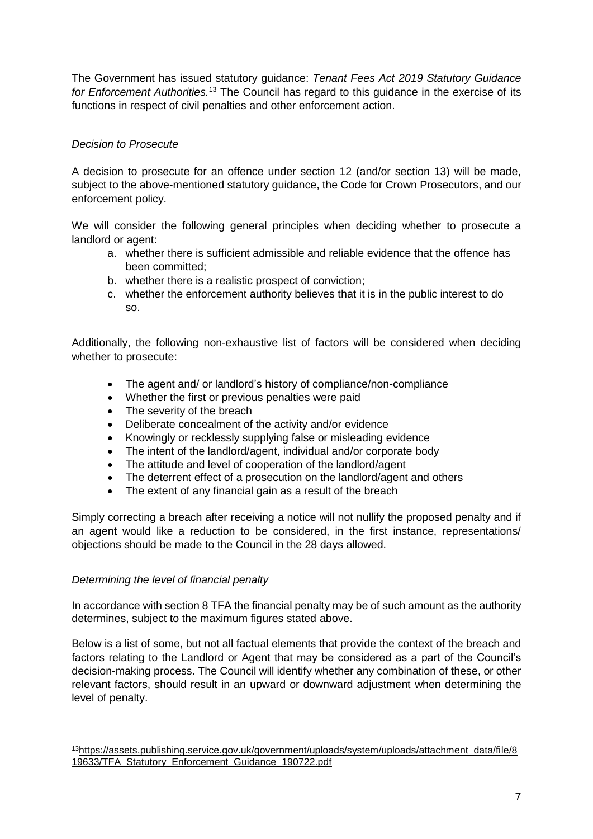The Government has issued statutory guidance: *Tenant Fees Act 2019 Statutory Guidance for Enforcement Authorities.*<sup>13</sup> The Council has regard to this guidance in the exercise of its functions in respect of civil penalties and other enforcement action.

# *Decision to Prosecute*

A decision to prosecute for an offence under section 12 (and/or section 13) will be made, subject to the above-mentioned statutory guidance, the Code for Crown Prosecutors, and our enforcement policy.

We will consider the following general principles when deciding whether to prosecute a landlord or agent:

- a. whether there is sufficient admissible and reliable evidence that the offence has been committed;
- b. whether there is a realistic prospect of conviction;
- c. whether the enforcement authority believes that it is in the public interest to do so.

Additionally, the following non-exhaustive list of factors will be considered when deciding whether to prosecute:

- The agent and/ or landlord's history of compliance/non-compliance
- Whether the first or previous penalties were paid
- The severity of the breach
- Deliberate concealment of the activity and/or evidence
- Knowingly or recklessly supplying false or misleading evidence
- The intent of the landlord/agent, individual and/or corporate body
- The attitude and level of cooperation of the landlord/agent
- The deterrent effect of a prosecution on the landlord/agent and others
- The extent of any financial gain as a result of the breach

Simply correcting a breach after receiving a notice will not nullify the proposed penalty and if an agent would like a reduction to be considered, in the first instance, representations/ objections should be made to the Council in the 28 days allowed.

#### *Determining the level of financial penalty*

1

In accordance with section 8 TFA the financial penalty may be of such amount as the authority determines, subject to the maximum figures stated above.

Below is a list of some, but not all factual elements that provide the context of the breach and factors relating to the Landlord or Agent that may be considered as a part of the Council's decision-making process. The Council will identify whether any combination of these, or other relevant factors, should result in an upward or downward adjustment when determining the level of penalty.

<sup>13</sup>[https://assets.publishing.service.gov.uk/government/uploads/system/uploads/attachment\\_data/file/8](https://assets.publishing.service.gov.uk/government/uploads/system/uploads/attachment_data/file/819633/TFA_Statutory_Enforcement_Guidance_190722.pdf) [19633/TFA\\_Statutory\\_Enforcement\\_Guidance\\_190722.pdf](https://assets.publishing.service.gov.uk/government/uploads/system/uploads/attachment_data/file/819633/TFA_Statutory_Enforcement_Guidance_190722.pdf)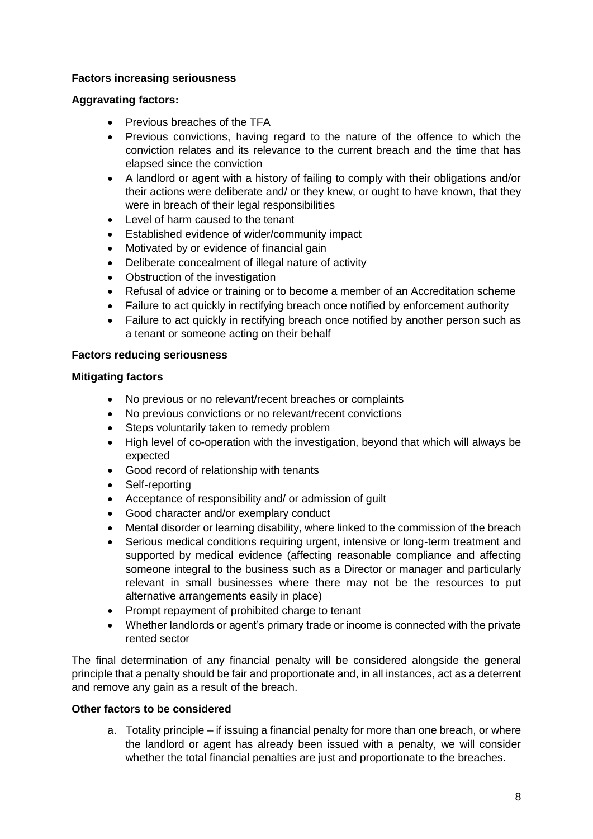#### **Factors increasing seriousness**

#### **Aggravating factors:**

- Previous breaches of the TFA
- Previous convictions, having regard to the nature of the offence to which the conviction relates and its relevance to the current breach and the time that has elapsed since the conviction
- A landlord or agent with a history of failing to comply with their obligations and/or their actions were deliberate and/ or they knew, or ought to have known, that they were in breach of their legal responsibilities
- Level of harm caused to the tenant
- Established evidence of wider/community impact
- Motivated by or evidence of financial gain
- Deliberate concealment of illegal nature of activity
- Obstruction of the investigation
- Refusal of advice or training or to become a member of an Accreditation scheme
- Failure to act quickly in rectifying breach once notified by enforcement authority
- Failure to act quickly in rectifying breach once notified by another person such as a tenant or someone acting on their behalf

#### **Factors reducing seriousness**

#### **Mitigating factors**

- No previous or no relevant/recent breaches or complaints
- No previous convictions or no relevant/recent convictions
- Steps voluntarily taken to remedy problem
- High level of co-operation with the investigation, beyond that which will always be expected
- Good record of relationship with tenants
- Self-reporting
- Acceptance of responsibility and/ or admission of guilt
- Good character and/or exemplary conduct
- Mental disorder or learning disability, where linked to the commission of the breach
- Serious medical conditions requiring urgent, intensive or long-term treatment and supported by medical evidence (affecting reasonable compliance and affecting someone integral to the business such as a Director or manager and particularly relevant in small businesses where there may not be the resources to put alternative arrangements easily in place)
- Prompt repayment of prohibited charge to tenant
- Whether landlords or agent's primary trade or income is connected with the private rented sector

The final determination of any financial penalty will be considered alongside the general principle that a penalty should be fair and proportionate and, in all instances, act as a deterrent and remove any gain as a result of the breach.

#### **Other factors to be considered**

a. Totality principle – if issuing a financial penalty for more than one breach, or where the landlord or agent has already been issued with a penalty, we will consider whether the total financial penalties are just and proportionate to the breaches.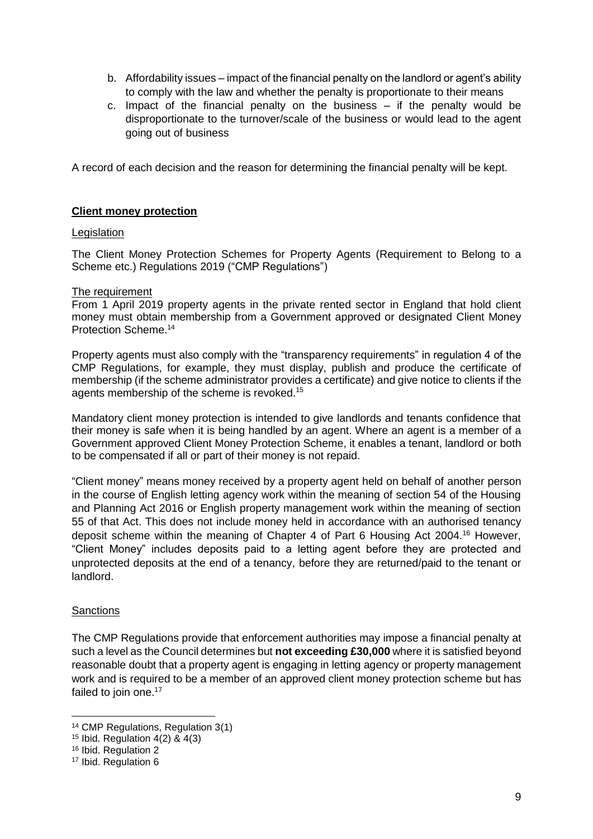- b. Affordability issues impact of the financial penalty on the landlord or agent's ability to comply with the law and whether the penalty is proportionate to their means
- c. Impact of the financial penalty on the business  $-$  if the penalty would be disproportionate to the turnover/scale of the business or would lead to the agent going out of business

A record of each decision and the reason for determining the financial penalty will be kept.

#### **Client money protection**

#### **Legislation**

The Client Money Protection Schemes for Property Agents (Requirement to Belong to a Scheme etc.) Regulations 2019 ("CMP Regulations")

#### The requirement

From 1 April 2019 property agents in the private rented sector in England that hold client money must obtain membership from a Government approved or designated Client Money Protection Scheme. 14

Property agents must also comply with the "transparency requirements" in regulation 4 of the CMP Regulations, for example, they must display, publish and produce the certificate of membership (if the scheme administrator provides a certificate) and give notice to clients if the agents membership of the scheme is revoked.<sup>15</sup>

Mandatory client money protection is intended to give landlords and tenants confidence that their money is safe when it is being handled by an agent. Where an agent is a member of a Government approved Client Money Protection Scheme, it enables a tenant, landlord or both to be compensated if all or part of their money is not repaid.

"Client money" means money received by a property agent held on behalf of another person in the course of English letting agency work within the meaning of section 54 of the Housing and Planning Act 2016 or English property management work within the meaning of section 55 of that Act. This does not include money held in accordance with an authorised tenancy deposit scheme within the meaning of Chapter 4 of Part 6 Housing Act 2004.<sup>16</sup> However, "Client Money" includes deposits paid to a letting agent before they are protected and unprotected deposits at the end of a tenancy, before they are returned/paid to the tenant or landlord.

#### **Sanctions**

**.** 

The CMP Regulations provide that enforcement authorities may impose a financial penalty at such a level as the Council determines but **not exceeding £30,000** where it is satisfied beyond reasonable doubt that a property agent is engaging in letting agency or property management work and is required to be a member of an approved client money protection scheme but has failed to join one.<sup>17</sup>

<sup>14</sup> CMP Regulations, Regulation 3(1)

<sup>15</sup> Ibid. Regulation 4(2) & 4(3)

<sup>&</sup>lt;sup>16</sup> Ibid. Regulation 2

<sup>17</sup> Ibid. Regulation 6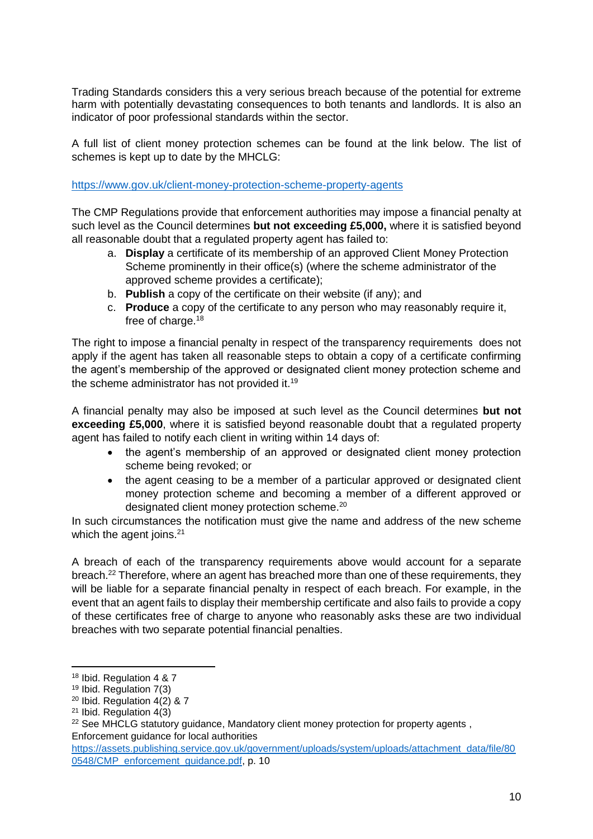Trading Standards considers this a very serious breach because of the potential for extreme harm with potentially devastating consequences to both tenants and landlords. It is also an indicator of poor professional standards within the sector.

A full list of client money protection schemes can be found at the link below. The list of schemes is kept up to date by the MHCLG:

<https://www.gov.uk/client-money-protection-scheme-property-agents>

The CMP Regulations provide that enforcement authorities may impose a financial penalty at such level as the Council determines **but not exceeding £5,000,** where it is satisfied beyond all reasonable doubt that a regulated property agent has failed to:

- a. **Display** a certificate of its membership of an approved Client Money Protection Scheme prominently in their office(s) (where the scheme administrator of the approved scheme provides a certificate);
- b. **Publish** a copy of the certificate on their website (if any); and
- c. **Produce** a copy of the certificate to any person who may reasonably require it, free of charge.<sup>18</sup>

The right to impose a financial penalty in respect of the transparency requirements does not apply if the agent has taken all reasonable steps to obtain a copy of a certificate confirming the agent's membership of the approved or designated client money protection scheme and the scheme administrator has not provided it.<sup>19</sup>

A financial penalty may also be imposed at such level as the Council determines **but not exceeding £5,000**, where it is satisfied beyond reasonable doubt that a regulated property agent has failed to notify each client in writing within 14 days of:

- the agent's membership of an approved or designated client money protection scheme being revoked; or
- the agent ceasing to be a member of a particular approved or designated client money protection scheme and becoming a member of a different approved or designated client money protection scheme.<sup>20</sup>

In such circumstances the notification must give the name and address of the new scheme which the agent joins.<sup>21</sup>

A breach of each of the transparency requirements above would account for a separate breach.<sup>22</sup> Therefore, where an agent has breached more than one of these requirements, they will be liable for a separate financial penalty in respect of each breach. For example, in the event that an agent fails to display their membership certificate and also fails to provide a copy of these certificates free of charge to anyone who reasonably asks these are two individual breaches with two separate potential financial penalties.

**<sup>.</sup>** <sup>18</sup> Ibid. Regulation 4 & 7

<sup>19</sup> Ibid. Regulation 7(3)

 $20$  Ibid. Regulation  $4(2)$  & 7

<sup>21</sup> Ibid. Regulation 4(3)

<sup>&</sup>lt;sup>22</sup> See MHCLG statutory guidance, Mandatory client money protection for property agents, Enforcement guidance for local authorities

[https://assets.publishing.service.gov.uk/government/uploads/system/uploads/attachment\\_data/file/80](https://assets.publishing.service.gov.uk/government/uploads/system/uploads/attachment_data/file/800548/CMP_enforcement_guidance.pdf) 0548/CMP\_enforcement\_quidance.pdf, p. 10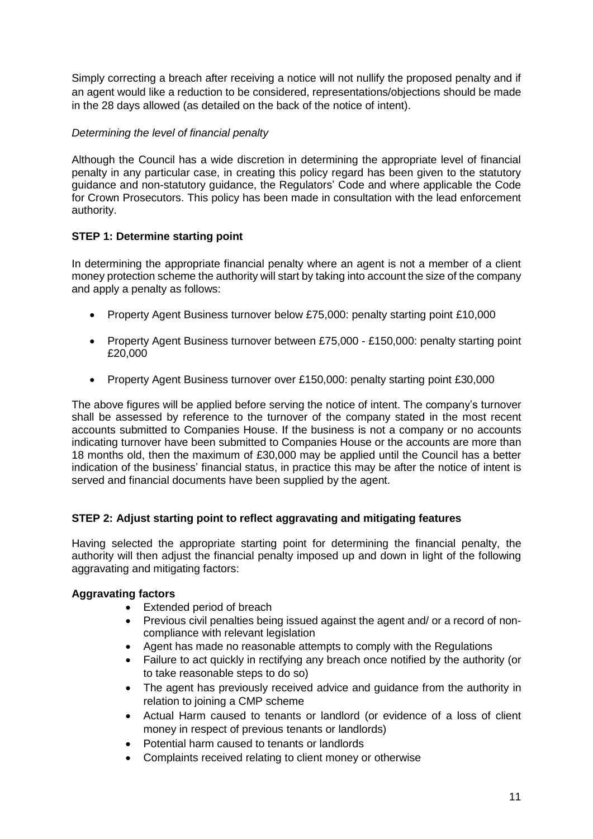Simply correcting a breach after receiving a notice will not nullify the proposed penalty and if an agent would like a reduction to be considered, representations/objections should be made in the 28 days allowed (as detailed on the back of the notice of intent).

# *Determining the level of financial penalty*

Although the Council has a wide discretion in determining the appropriate level of financial penalty in any particular case, in creating this policy regard has been given to the statutory guidance and non-statutory guidance, the Regulators' Code and where applicable the Code for Crown Prosecutors. This policy has been made in consultation with the lead enforcement authority.

#### **STEP 1: Determine starting point**

In determining the appropriate financial penalty where an agent is not a member of a client money protection scheme the authority will start by taking into account the size of the company and apply a penalty as follows:

- Property Agent Business turnover below £75,000: penalty starting point £10,000
- Property Agent Business turnover between £75,000 £150,000; penalty starting point £20,000
- Property Agent Business turnover over £150,000: penalty starting point £30,000

The above figures will be applied before serving the notice of intent. The company's turnover shall be assessed by reference to the turnover of the company stated in the most recent accounts submitted to Companies House. If the business is not a company or no accounts indicating turnover have been submitted to Companies House or the accounts are more than 18 months old, then the maximum of £30,000 may be applied until the Council has a better indication of the business' financial status, in practice this may be after the notice of intent is served and financial documents have been supplied by the agent.

# **STEP 2: Adjust starting point to reflect aggravating and mitigating features**

Having selected the appropriate starting point for determining the financial penalty, the authority will then adjust the financial penalty imposed up and down in light of the following aggravating and mitigating factors:

#### **Aggravating factors**

- Extended period of breach
- Previous civil penalties being issued against the agent and/ or a record of noncompliance with relevant legislation
- Agent has made no reasonable attempts to comply with the Regulations
- Failure to act quickly in rectifying any breach once notified by the authority (or to take reasonable steps to do so)
- The agent has previously received advice and guidance from the authority in relation to joining a CMP scheme
- Actual Harm caused to tenants or landlord (or evidence of a loss of client money in respect of previous tenants or landlords)
- Potential harm caused to tenants or landlords
- Complaints received relating to client money or otherwise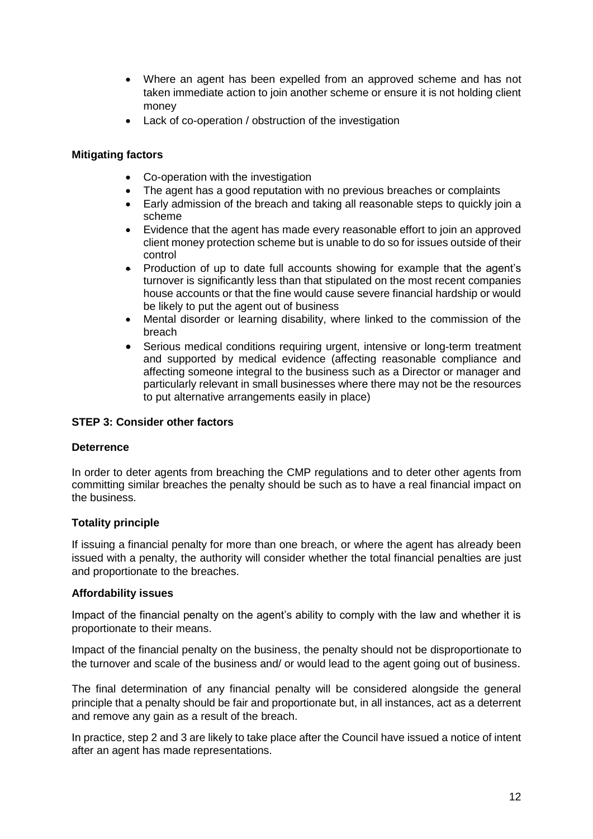- Where an agent has been expelled from an approved scheme and has not taken immediate action to join another scheme or ensure it is not holding client money
- Lack of co-operation / obstruction of the investigation

#### **Mitigating factors**

- Co-operation with the investigation
- The agent has a good reputation with no previous breaches or complaints
- Early admission of the breach and taking all reasonable steps to quickly join a scheme
- Evidence that the agent has made every reasonable effort to join an approved client money protection scheme but is unable to do so for issues outside of their control
- Production of up to date full accounts showing for example that the agent's turnover is significantly less than that stipulated on the most recent companies house accounts or that the fine would cause severe financial hardship or would be likely to put the agent out of business
- Mental disorder or learning disability, where linked to the commission of the breach
- Serious medical conditions requiring urgent, intensive or long-term treatment and supported by medical evidence (affecting reasonable compliance and affecting someone integral to the business such as a Director or manager and particularly relevant in small businesses where there may not be the resources to put alternative arrangements easily in place)

#### **STEP 3: Consider other factors**

#### **Deterrence**

In order to deter agents from breaching the CMP regulations and to deter other agents from committing similar breaches the penalty should be such as to have a real financial impact on the business.

#### **Totality principle**

If issuing a financial penalty for more than one breach, or where the agent has already been issued with a penalty, the authority will consider whether the total financial penalties are just and proportionate to the breaches.

#### **Affordability issues**

Impact of the financial penalty on the agent's ability to comply with the law and whether it is proportionate to their means.

Impact of the financial penalty on the business, the penalty should not be disproportionate to the turnover and scale of the business and/ or would lead to the agent going out of business.

The final determination of any financial penalty will be considered alongside the general principle that a penalty should be fair and proportionate but, in all instances, act as a deterrent and remove any gain as a result of the breach.

In practice, step 2 and 3 are likely to take place after the Council have issued a notice of intent after an agent has made representations.